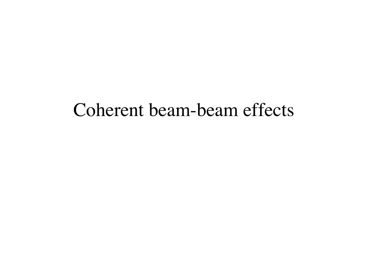## Coherent beam-beam effects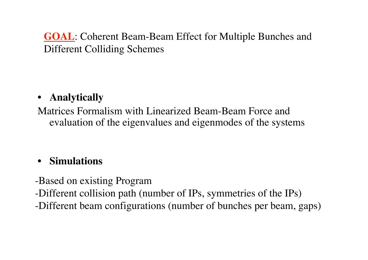**GOAL**: Coherent Beam-Beam Effect for Multiple Bunches and Different Colliding Schemes

### • **Analytically**

Matrices Formalism with Linearized Beam-Beam Force and evaluation of the eigenvalues and eigenmodes of the systems

#### • **Simulations**

- -Based on existing Program
- -Different collision path (number of IPs, symmetries of the IPs)
- -Different beam configurations (number of bunches per beam, gaps)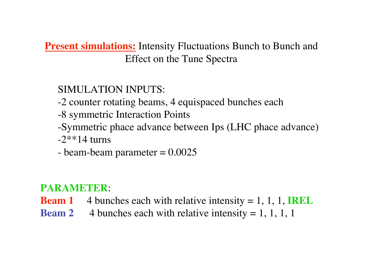#### **Present simulations:** Intensity Fluctuations Bunch to Bunch and Effect on the Tune Spectra

#### SIMULATION INPUTS:

- -2 counter rotating beams, 4 equispaced bunches each
- -8 symmetric Interaction Points
- -Symmetric phace advance between Ips (LHC phace advance)  $-2$ \*\*14 turns
- beam-beam parameter  $= 0.0025$

#### **PARAMETER**:

- **Beam 1** 4 bunches each with relative intensity = 1, 1, 1, **IREL**
- **Beam 2** 4 bunches each with relative intensity  $= 1, 1, 1, 1$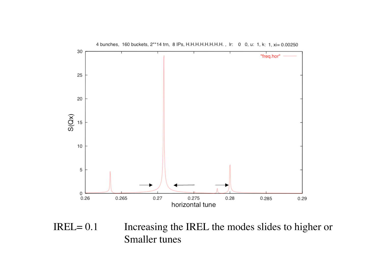

IREL= 0.1 Increasing the IREL the modes slides to higher or Smaller tunes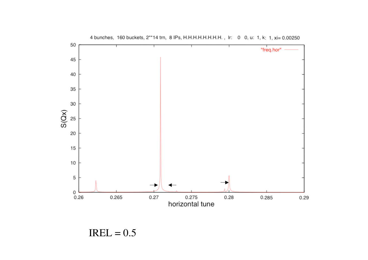

4 bunches, 160 buckets, 2\*\*14 trn, 8 IPs, H.H.H.H.H.H.H.H.H., Ir: 0 0, u: 1, k: 1, xi= 0.00250

 $IREL = 0.5$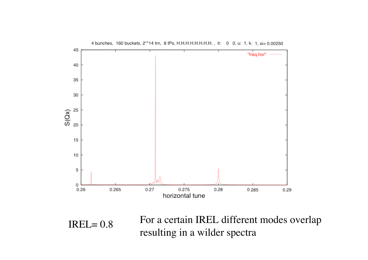

 $IREL = 0.8$  For a certain IREL different modes overlap resulting in a wilder spectra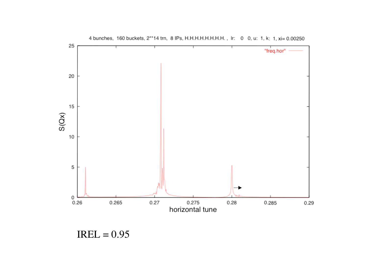

4 bunches, 160 buckets, 2\*\*14 trn, 8 IPs, H.H.H.H.H.H.H.H.H., Ir: 0 0, u: 1, k: 1, xi= 0.00250

 $IREL = 0.95$